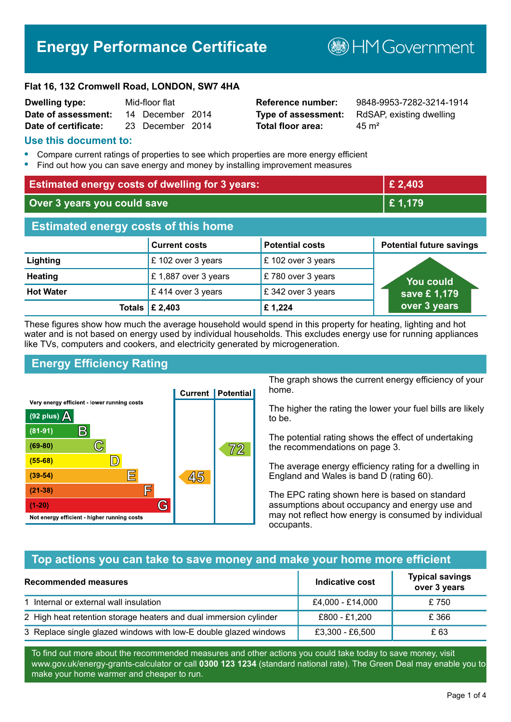# **Energy Performance Certificate**

**B**HMGovernment

#### **Flat 16, 132 Cromwell Road, LONDON, SW7 4HA**

| <b>Dwelling type:</b> | Mid-floor flat |                  |  |
|-----------------------|----------------|------------------|--|
| Date of assessment:   |                | 14 December 2014 |  |
| Date of certificate:  |                | 23 December 2014 |  |

# **Total floor area:** 25 m<sup>2</sup>

**Reference number:** 9848-9953-7282-3214-1914 **Type of assessment:** RdSAP, existing dwelling

#### **Use this document to:**

- **•** Compare current ratings of properties to see which properties are more energy efficient
- **•** Find out how you can save energy and money by installing improvement measures

| <b>Estimated energy costs of dwelling for 3 years:</b> |                           |                        | £ 2,403                         |  |
|--------------------------------------------------------|---------------------------|------------------------|---------------------------------|--|
| Over 3 years you could save                            |                           | £ 1,179                |                                 |  |
| <b>Estimated energy costs of this home</b>             |                           |                        |                                 |  |
|                                                        | <b>Current costs</b>      | <b>Potential costs</b> | <b>Potential future savings</b> |  |
| Lighting                                               | £ 102 over 3 years        | £102 over 3 years      |                                 |  |
| <b>Heating</b>                                         | £1,887 over 3 years       | £780 over 3 years      | <b>You could</b>                |  |
| <b>Hot Water</b>                                       | £414 over 3 years         | £342 over 3 years      | save £1,179                     |  |
|                                                        | Totals $\mathsf{E}$ 2,403 | £1,224                 | over 3 years                    |  |

These figures show how much the average household would spend in this property for heating, lighting and hot water and is not based on energy used by individual households. This excludes energy use for running appliances like TVs, computers and cookers, and electricity generated by microgeneration.

# **Energy Efficiency Rating**



The graph shows the current energy efficiency of your home.

The higher the rating the lower your fuel bills are likely to be.

The potential rating shows the effect of undertaking the recommendations on page 3.

The average energy efficiency rating for a dwelling in England and Wales is band D (rating 60).

The EPC rating shown here is based on standard assumptions about occupancy and energy use and may not reflect how energy is consumed by individual occupants.

# **Top actions you can take to save money and make your home more efficient**

| <b>Recommended measures</b>                                       | Indicative cost  | <b>Typical savings</b><br>over 3 years |
|-------------------------------------------------------------------|------------------|----------------------------------------|
| 1 Internal or external wall insulation                            | £4,000 - £14,000 | £750                                   |
| 2 High heat retention storage heaters and dual immersion cylinder | £800 - £1,200    | £ 366                                  |
| 3 Replace single glazed windows with low-E double glazed windows  | £3,300 - £6,500  | £ 63                                   |

To find out more about the recommended measures and other actions you could take today to save money, visit www.gov.uk/energy-grants-calculator or call **0300 123 1234** (standard national rate). The Green Deal may enable you to make your home warmer and cheaper to run.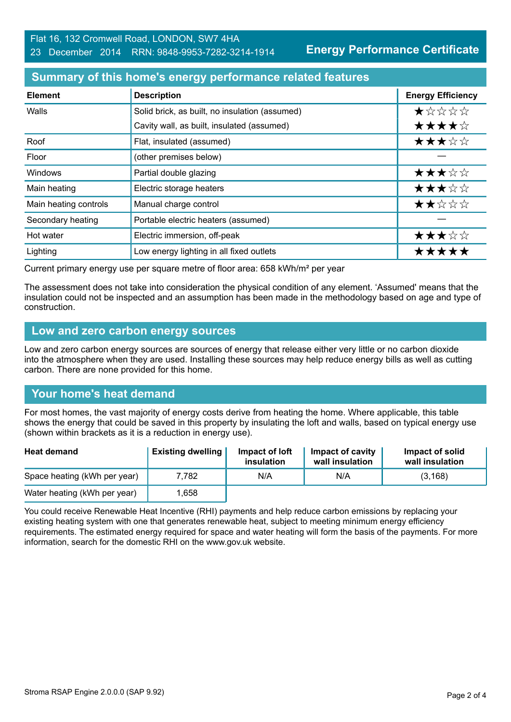**Energy Performance Certificate**

#### **Summary of this home's energy performance related features**

| <b>Element</b>        | <b>Description</b>                             | <b>Energy Efficiency</b> |
|-----------------------|------------------------------------------------|--------------------------|
| Walls                 | Solid brick, as built, no insulation (assumed) | *****                    |
|                       | Cavity wall, as built, insulated (assumed)     | ★★★★☆                    |
| Roof                  | Flat, insulated (assumed)                      | ★★★☆☆                    |
| Floor                 | (other premises below)                         |                          |
| Windows               | Partial double glazing                         | ★★★☆☆                    |
| Main heating          | Electric storage heaters                       | ★★★☆☆                    |
| Main heating controls | Manual charge control                          | ★★☆☆☆                    |
| Secondary heating     | Portable electric heaters (assumed)            |                          |
| Hot water             | Electric immersion, off-peak                   | ★★★☆☆                    |
| Lighting              | Low energy lighting in all fixed outlets       | *****                    |

Current primary energy use per square metre of floor area: 658 kWh/m² per year

The assessment does not take into consideration the physical condition of any element. 'Assumed' means that the insulation could not be inspected and an assumption has been made in the methodology based on age and type of construction.

#### **Low and zero carbon energy sources**

Low and zero carbon energy sources are sources of energy that release either very little or no carbon dioxide into the atmosphere when they are used. Installing these sources may help reduce energy bills as well as cutting carbon. There are none provided for this home.

# **Your home's heat demand**

For most homes, the vast majority of energy costs derive from heating the home. Where applicable, this table shows the energy that could be saved in this property by insulating the loft and walls, based on typical energy use (shown within brackets as it is a reduction in energy use).

| <b>Heat demand</b>           | <b>Existing dwelling</b> | Impact of loft<br>insulation | Impact of cavity<br>wall insulation | Impact of solid<br>wall insulation |
|------------------------------|--------------------------|------------------------------|-------------------------------------|------------------------------------|
| Space heating (kWh per year) | 7.782                    | N/A                          | N/A                                 | (3, 168)                           |
| Water heating (kWh per year) | ,658                     |                              |                                     |                                    |

You could receive Renewable Heat Incentive (RHI) payments and help reduce carbon emissions by replacing your existing heating system with one that generates renewable heat, subject to meeting minimum energy efficiency requirements. The estimated energy required for space and water heating will form the basis of the payments. For more information, search for the domestic RHI on the www.gov.uk website.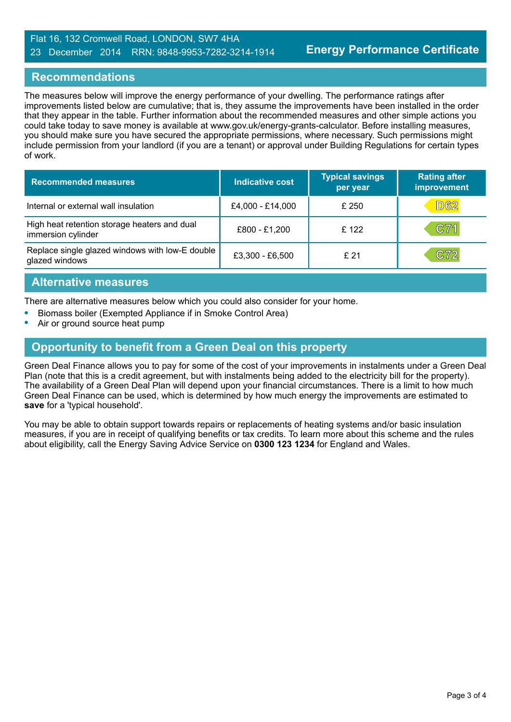#### Flat 16, 132 Cromwell Road, LONDON, SW7 4HA 23 December 2014 RRN: 9848-9953-7282-3214-1914

#### **Recommendations**

The measures below will improve the energy performance of your dwelling. The performance ratings after improvements listed below are cumulative; that is, they assume the improvements have been installed in the order that they appear in the table. Further information about the recommended measures and other simple actions you could take today to save money is available at www.gov.uk/energy-grants-calculator. Before installing measures, you should make sure you have secured the appropriate permissions, where necessary. Such permissions might include permission from your landlord (if you are a tenant) or approval under Building Regulations for certain types of work.

| <b>Recommended measures</b>                                        | Indicative cost  | <b>Typical savings</b><br>per year | <b>Rating after</b><br>improvement |
|--------------------------------------------------------------------|------------------|------------------------------------|------------------------------------|
| Internal or external wall insulation                               | £4,000 - £14,000 | £250                               | <b>D62</b>                         |
| High heat retention storage heaters and dual<br>immersion cylinder | £800 - £1,200    | £ 122                              | C71                                |
| Replace single glazed windows with low-E double<br>glazed windows  | £3,300 - £6,500  | £21                                | C72                                |

#### **Alternative measures**

There are alternative measures below which you could also consider for your home.

- **•** Biomass boiler (Exempted Appliance if in Smoke Control Area)
- **•** Air or ground source heat pump

# **Opportunity to benefit from a Green Deal on this property**

Green Deal Finance allows you to pay for some of the cost of your improvements in instalments under a Green Deal Plan (note that this is a credit agreement, but with instalments being added to the electricity bill for the property). The availability of a Green Deal Plan will depend upon your financial circumstances. There is a limit to how much Green Deal Finance can be used, which is determined by how much energy the improvements are estimated to **save** for a 'typical household'.

You may be able to obtain support towards repairs or replacements of heating systems and/or basic insulation measures, if you are in receipt of qualifying benefits or tax credits. To learn more about this scheme and the rules about eligibility, call the Energy Saving Advice Service on **0300 123 1234** for England and Wales.